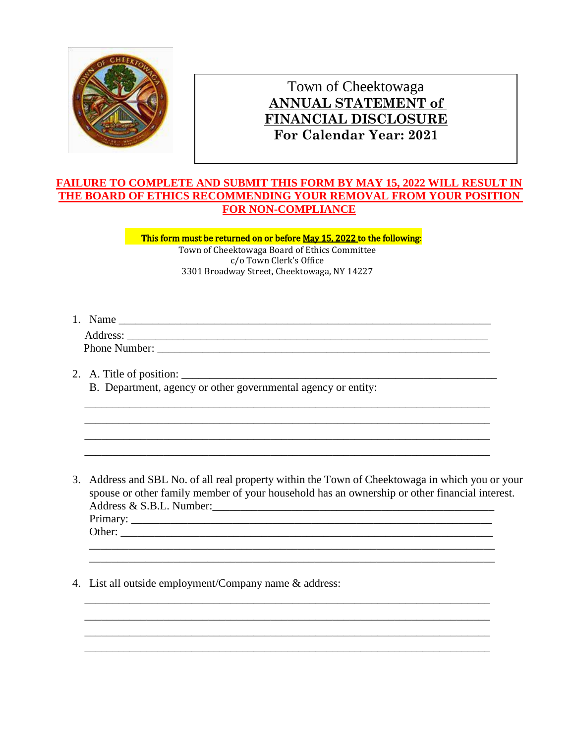

## Town of Cheektowaga **ANNUAL STATEMENT of FINANCIAL DISCLOSURE For Calendar Year: 2021**

## **FAILURE TO COMPLETE AND SUBMIT THIS FORM BY MAY 15, 2022 WILL RESULT IN THE BOARD OF ETHICS RECOMMENDING YOUR REMOVAL FROM YOUR POSITION FOR NON-COMPLIANCE**

This form must be returned on or before May 15, 2022 to the following: Town of Cheektowaga Board of Ethics Committee c/o Town Clerk's Office 3301 Broadway Street, Cheektowaga, NY 14227

1. Name \_\_\_\_\_\_\_\_\_\_\_\_\_\_\_\_\_\_\_\_\_\_\_\_\_\_\_\_\_\_\_\_\_\_\_\_\_\_\_\_\_\_\_\_\_\_\_\_\_\_\_\_\_\_\_\_\_\_\_\_\_\_\_\_\_\_ Address: \_\_\_\_\_\_\_\_\_\_\_\_\_\_\_\_\_\_\_\_\_\_\_\_\_\_\_\_\_\_\_\_\_\_\_\_\_\_\_\_\_\_\_\_\_\_\_\_\_\_\_\_\_\_\_\_\_\_\_\_\_\_\_\_ Phone Number: \_\_\_\_\_\_\_\_\_\_\_\_\_\_\_\_\_\_\_\_\_\_\_\_\_\_\_\_\_\_\_\_\_\_\_\_\_\_\_\_\_\_\_\_\_\_\_\_\_\_\_\_\_\_\_\_\_\_\_

\_\_\_\_\_\_\_\_\_\_\_\_\_\_\_\_\_\_\_\_\_\_\_\_\_\_\_\_\_\_\_\_\_\_\_\_\_\_\_\_\_\_\_\_\_\_\_\_\_\_\_\_\_\_\_\_\_\_\_\_\_\_\_\_\_\_\_\_\_\_\_\_ \_\_\_\_\_\_\_\_\_\_\_\_\_\_\_\_\_\_\_\_\_\_\_\_\_\_\_\_\_\_\_\_\_\_\_\_\_\_\_\_\_\_\_\_\_\_\_\_\_\_\_\_\_\_\_\_\_\_\_\_\_\_\_\_\_\_\_\_\_\_\_\_ \_\_\_\_\_\_\_\_\_\_\_\_\_\_\_\_\_\_\_\_\_\_\_\_\_\_\_\_\_\_\_\_\_\_\_\_\_\_\_\_\_\_\_\_\_\_\_\_\_\_\_\_\_\_\_\_\_\_\_\_\_\_\_\_\_\_\_\_\_\_\_\_ \_\_\_\_\_\_\_\_\_\_\_\_\_\_\_\_\_\_\_\_\_\_\_\_\_\_\_\_\_\_\_\_\_\_\_\_\_\_\_\_\_\_\_\_\_\_\_\_\_\_\_\_\_\_\_\_\_\_\_\_\_\_\_\_\_\_\_\_\_\_\_\_

2. A. Title of position: B. Department, agency or other governmental agency or entity:

3. Address and SBL No. of all real property within the Town of Cheektowaga in which you or your spouse or other family member of your household has an ownership or other financial interest. Address & S.B.L. Number:\_\_\_\_\_\_\_\_\_\_\_\_\_\_\_\_\_\_\_\_\_\_\_\_\_\_\_\_\_\_\_\_\_\_\_\_\_\_\_\_\_\_\_\_\_\_\_\_\_\_ Primary: \_\_\_\_\_\_\_\_\_\_\_\_\_\_\_\_\_\_\_\_\_\_\_\_\_\_\_\_\_\_\_\_\_\_\_\_\_\_\_\_\_\_\_\_\_\_\_\_\_\_\_\_\_\_\_\_\_\_\_\_\_\_\_\_

\_\_\_\_\_\_\_\_\_\_\_\_\_\_\_\_\_\_\_\_\_\_\_\_\_\_\_\_\_\_\_\_\_\_\_\_\_\_\_\_\_\_\_\_\_\_\_\_\_\_\_\_\_\_\_\_\_\_\_\_\_\_\_\_\_\_\_\_\_\_\_\_ \_\_\_\_\_\_\_\_\_\_\_\_\_\_\_\_\_\_\_\_\_\_\_\_\_\_\_\_\_\_\_\_\_\_\_\_\_\_\_\_\_\_\_\_\_\_\_\_\_\_\_\_\_\_\_\_\_\_\_\_\_\_\_\_\_\_\_\_\_\_\_\_

\_\_\_\_\_\_\_\_\_\_\_\_\_\_\_\_\_\_\_\_\_\_\_\_\_\_\_\_\_\_\_\_\_\_\_\_\_\_\_\_\_\_\_\_\_\_\_\_\_\_\_\_\_\_\_\_\_\_\_\_\_\_\_\_\_\_\_\_\_\_\_\_ \_\_\_\_\_\_\_\_\_\_\_\_\_\_\_\_\_\_\_\_\_\_\_\_\_\_\_\_\_\_\_\_\_\_\_\_\_\_\_\_\_\_\_\_\_\_\_\_\_\_\_\_\_\_\_\_\_\_\_\_\_\_\_\_\_\_\_\_\_\_\_\_ \_\_\_\_\_\_\_\_\_\_\_\_\_\_\_\_\_\_\_\_\_\_\_\_\_\_\_\_\_\_\_\_\_\_\_\_\_\_\_\_\_\_\_\_\_\_\_\_\_\_\_\_\_\_\_\_\_\_\_\_\_\_\_\_\_\_\_\_\_\_\_\_ \_\_\_\_\_\_\_\_\_\_\_\_\_\_\_\_\_\_\_\_\_\_\_\_\_\_\_\_\_\_\_\_\_\_\_\_\_\_\_\_\_\_\_\_\_\_\_\_\_\_\_\_\_\_\_\_\_\_\_\_\_\_\_\_\_\_\_\_\_\_\_\_

Other:

4. List all outside employment/Company name & address: